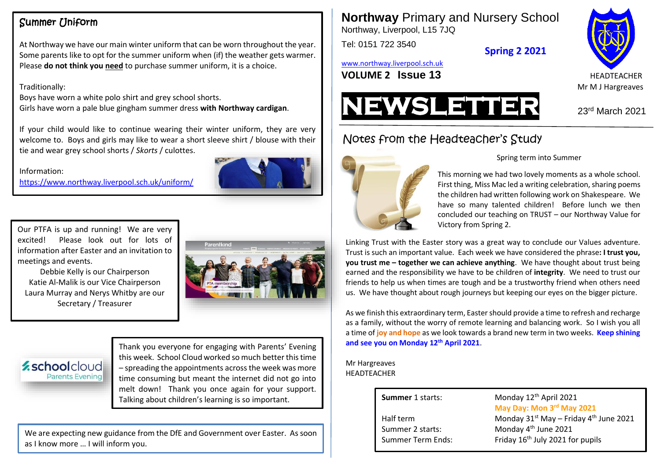# Summer Uniform

At Northway we have our main winter uniform that can be worn throughout the year. Some parents like to opt for the summer uniform when (if) the weather gets warmer. Please **do not think you need** to purchase summer uniform, it is a choice.

## Traditionally:

Boys have worn a white polo shirt and grey school shorts. Girls have worn a pale blue gingham summer dress **with Northway cardigan**.

If your child would like to continue wearing their winter uniform, they are very welcome to. Boys and girls may like to wear a short sleeve shirt / blouse with their tie and wear grey school shorts / *Skorts* / culottes.

#### Information:

<https://www.northway.liverpool.sch.uk/uniform/>



Our PTFA is up and running! We are very excited! Please look out for lots of information after Easter and an invitation to meetings and events.

ngs and Events.<br>Debbie Kelly is our Chairperson Katie Al-Malik is our Vice Chairperson Laura Murray and Nerys Whitby are our Secretary / Treasurer



## *<u>zschoolcloud</u>* **Parents Evening**

Thank you everyone for engaging with Parents' Evening this week. School Cloud worked so much better this time – spreading the appointments across the week was more time consuming but meant the internet did not go into melt down! Thank you once again for your support. Talking about children's learning is so important. **Summer** 1 starts: Monday 12<sup>th</sup> April 2021

We are expecting new guidance from the DfE and Government over Easter. As soon as I know more … I will inform you.

**Northway** Primary and Nursery School Northway, Liverpool, L15 7JQ

Tel: 0151 722 3540

**Spring 2 2021**

[www.northway.liverpool.sch.uk](http://www.northway.liverpool.sch.uk/)

**VOLUME 2 ISSUE 13 HEADTEACHER** 





# Notes from the Headteacher's Study



#### Spring term into Summer

This morning we had two lovely moments as a whole school. First thing, Miss Mac led a writing celebration, sharing poems the children had written following work on Shakespeare. We have so many talented children! Before lunch we then concluded our teaching on TRUST – our Northway Value for Victory from Spring 2.

Linking Trust with the Easter story was a great way to conclude our Values adventure. Trust is such an important value. Each week we have considered the phrase**: I trust you, you trust me – together we can achieve anything**. We have thought about trust being earned and the responsibility we have to be children of **integrity**. We need to trust our friends to help us when times are tough and be a trustworthy friend when others need us. We have thought about rough journeys but keeping our eyes on the bigger picture.

As we finish this extraordinary term, Easter should provide a time to refresh and recharge as a family, without the worry of remote learning and balancing work. So I wish you all a time of **joy and hope** as we look towards a brand new term in two weeks. **Keep shining and see you on Monday 12th April 2021**.

Mr Hargreaves HEADTEACHER

Summer 2 starts:

**May Day: Mon 3 rd May 2021** Half term Monday 31<sup>st</sup> May – Friday 4<sup>th</sup> June 2021 Monday 4<sup>th</sup> June 2021 Summer Term Ends: Friday 16<sup>th</sup> July 2021 for pupils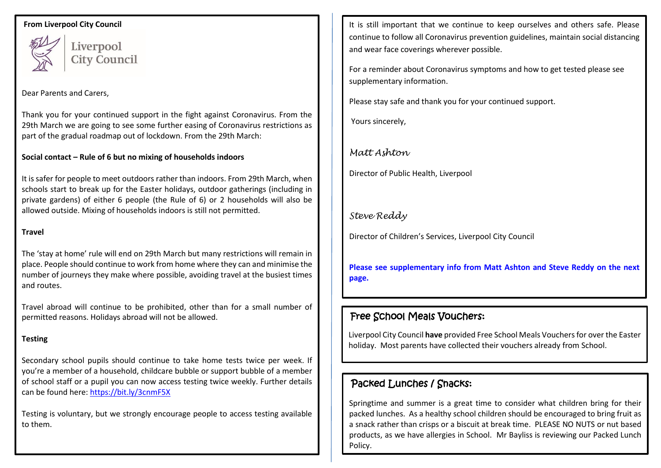#### **From Liverpool City Council**



Liverpool **City Council** 

### Dear Parents and Carers,

Thank you for your continued support in the fight against Coronavirus. From the 29th March we are going to see some further easing of Coronavirus restrictions as part of the gradual roadmap out of lockdown. From the 29th March:

### **Social contact – Rule of 6 but no mixing of households indoors**

It is safer for people to meet outdoors rather than indoors. From 29th March, when schools start to break up for the Easter holidays, outdoor gatherings (including in private gardens) of either 6 people (the Rule of 6) or 2 households will also be allowed outside. Mixing of households indoors is still not permitted.

#### **Travel**

The 'stay at home' rule will end on 29th March but many restrictions will remain in place. People should continue to work from home where they can and minimise the number of journeys they make where possible, avoiding travel at the busiest times and routes.

Travel abroad will continue to be prohibited, other than for a small number of permitted reasons. Holidays abroad will not be allowed.

## **Testing**

Secondary school pupils should continue to take home tests twice per week. If you're a member of a household, childcare bubble or support bubble of a member of school staff or a pupil you can now access testing twice weekly. Further details can be found here[: https://bit.ly/3cnmF5X](https://bit.ly/3cnmF5X)

Testing is voluntary, but we strongly encourage people to access testing available to them.

It is still important that we continue to keep ourselves and others safe. Please continue to follow all Coronavirus prevention guidelines, maintain social distancing and wear face coverings wherever possible.

For a reminder about Coronavirus symptoms and how to get tested please see supplementary information.

Please stay safe and thank you for your continued support.

Yours sincerely,

# *Matt Ashton*

Director of Public Health, Liverpool

# *Steve Reddy*

Director of Children's Services, Liverpool City Council

**Please see supplementary info from Matt Ashton and Steve Reddy on the next page.**

# Free School Meals Vouchers:

Liverpool City Council **have** provided Free School Meals Vouchersfor over the Easter holiday. Most parents have collected their vouchers already from School.

# Packed Lunches / Snacks:

Springtime and summer is a great time to consider what children bring for their packed lunches. As a healthy school children should be encouraged to bring fruit as a snack rather than crisps or a biscuit at break time. PLEASE NO NUTS or nut based products, as we have allergies in School. Mr Bayliss is reviewing our Packed Lunch Policy.